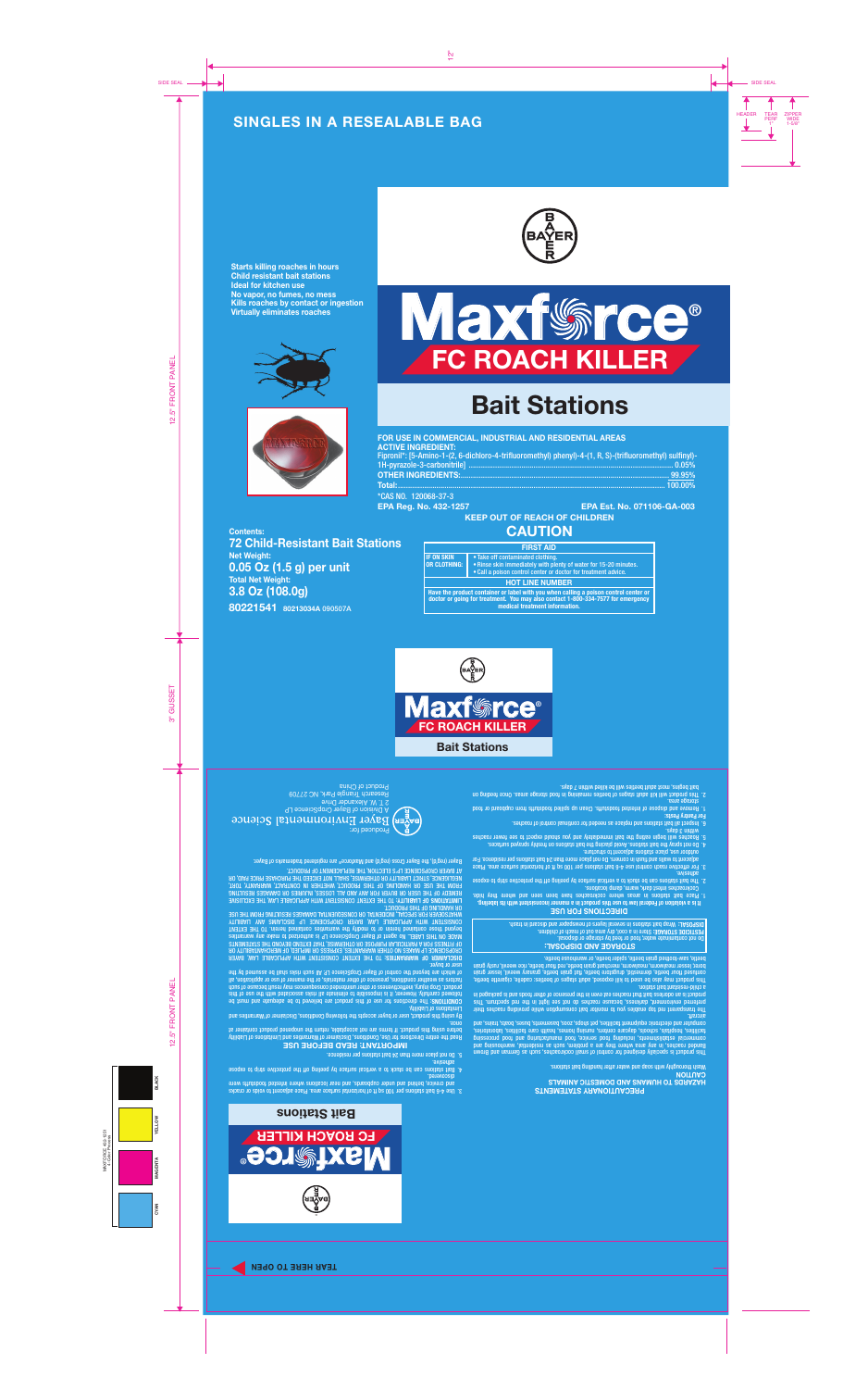## **SINGLES IN A RESEALABLE BAG**



**Starts killing roaches in hours Child resistant bait stations Ideal for kitchen use No vapor, no fumes, no mess Kills roaches by contact or ingestion Virtually eliminates roaches**







# **Bait Stations**

| FOR USE IN COMMERCIAL, INDUSTRIAL AND RESIDENTIAL AREAS                                                  |  |
|----------------------------------------------------------------------------------------------------------|--|
| <b>ACTIVE INGREDIENT:</b>                                                                                |  |
| Fipronil*: [5-Amino-1-(2, 6-dichloro-4-trifluoromethyl) phenyl)-4-(1, R, S)-(trifluoromethyl) sulfinyl)- |  |
|                                                                                                          |  |
|                                                                                                          |  |
|                                                                                                          |  |
| *CAS NO. 120068-37-3                                                                                     |  |

**80221541 80213034A** 090507A **Contents: 72 Child-Resistant Bait Stations Net Weight: 0.05 Oz (1.5 g) per unit Total Net Weight: 3.8 Oz (108.0g)**

#### **EPA Reg. No. 432-1257 EPA Est. No. 071106-GA-003 KEEP OUT OF REACH OF CHILDREN**

## **CAUTION**

| <b>FIRST AID</b>                                                                                                                                                                                           |                                                                                                                                                                         |
|------------------------------------------------------------------------------------------------------------------------------------------------------------------------------------------------------------|-------------------------------------------------------------------------------------------------------------------------------------------------------------------------|
| <b>IF ON SKIN</b><br><b>OR CLOTHING:</b>                                                                                                                                                                   | • Take off contaminated clothing.<br>. Rinse skin immediately with plenty of water for 15-20 minutes.<br>• Call a poison control center or doctor for treatment advice. |
| <b>HOT LINE NUMBER</b>                                                                                                                                                                                     |                                                                                                                                                                         |
| Have the product container or label with you when calling a poison control center or<br>doctor or going for treatment. You may also contact 1-800-334-7577 for emergency<br>medical treatment information. |                                                                                                                                                                         |